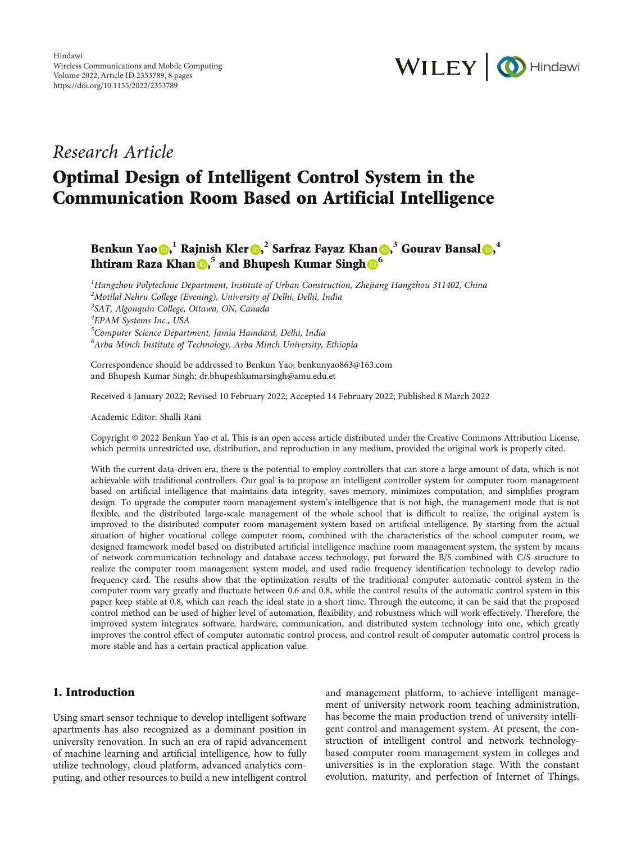

# Research Article

# Optimal Design of Intelligent Control System in the Communication Room Based on Artificial Intelligence

Benkun Yao (b[,](https://orcid.org/0000-0001-6598-5283)  $^1$  Rajnish Kler (b,  $^2$  Sarfraz Fayaz Khan (b,  $^3$  Gourav Bansal (b,  $^4$ Ihtiram Raza Khan **[6](https://orcid.org/0000-0002-3262-1894)**,<sup>5</sup> and Bhupesh Kumar Singh **6**<sup>6</sup>

<sup>1</sup>Hangzhou Polytechnic Department, Institute of Urban Construction, Zhejiang Hangzhou 311402, China  $^2$ Motilal Nehru College (Evening), University of Delhi, Delhi, India 3 SAT, Algonquin College, Ottawa, ON, Canada <sup>4</sup>EPAM Systems Inc., USA <sup>5</sup>Computer Science Department, Jamia Hamdard, Delhi, India 6 Arba Minch Institute of Technology, Arba Minch University, Ethiopia

Correspondence should be addressed to Benkun Yao; benkunyao863@163.com and Bhupesh Kumar Singh; dr.bhupeshkumarsingh@amu.edu.et

Received 4 January 2022; Revised 10 February 2022; Accepted 14 February 2022; Published 8 March 2022

Academic Editor: Shalli Rani

Copyright © 2022 Benkun Yao et al. This is an open access article distributed under the [Creative Commons Attribution License](https://creativecommons.org/licenses/by/4.0/), which permits unrestricted use, distribution, and reproduction in any medium, provided the original work is properly cited.

With the current data-driven era, there is the potential to employ controllers that can store a large amount of data, which is not achievable with traditional controllers. Our goal is to propose an intelligent controller system for computer room management based on artificial intelligence that maintains data integrity, saves memory, minimizes computation, and simplifies program design. To upgrade the computer room management system's intelligence that is not high, the management mode that is not flexible, and the distributed large-scale management of the whole school that is difficult to realize, the original system is improved to the distributed computer room management system based on artificial intelligence. By starting from the actual situation of higher vocational college computer room, combined with the characteristics of the school computer room, we designed framework model based on distributed artificial intelligence machine room management system, the system by means of network communication technology and database access technology, put forward the B/S combined with C/S structure to realize the computer room management system model, and used radio frequency identification technology to develop radio frequency card. The results show that the optimization results of the traditional computer automatic control system in the computer room vary greatly and fluctuate between 0.6 and 0.8, while the control results of the automatic control system in this paper keep stable at 0.8, which can reach the ideal state in a short time. Through the outcome, it can be said that the proposed control method can be used of higher level of automation, flexibility, and robustness which will work effectively. Therefore, the improved system integrates software, hardware, communication, and distributed system technology into one, which greatly improves the control effect of computer automatic control process, and control result of computer automatic control process is more stable and has a certain practical application value.

# 1. Introduction

Using smart sensor technique to develop intelligent software apartments has also recognized as a dominant position in university renovation. In such an era of rapid advancement of machine learning and artificial intelligence, how to fully utilize technology, cloud platform, advanced analytics computing, and other resources to build a new intelligent control and management platform, to achieve intelligent management of university network room teaching administration, has become the main production trend of university intelligent control and management system. At present, the construction of intelligent control and network technologybased computer room management system in colleges and universities is in the exploration stage. With the constant evolution, maturity, and perfection of Internet of Things,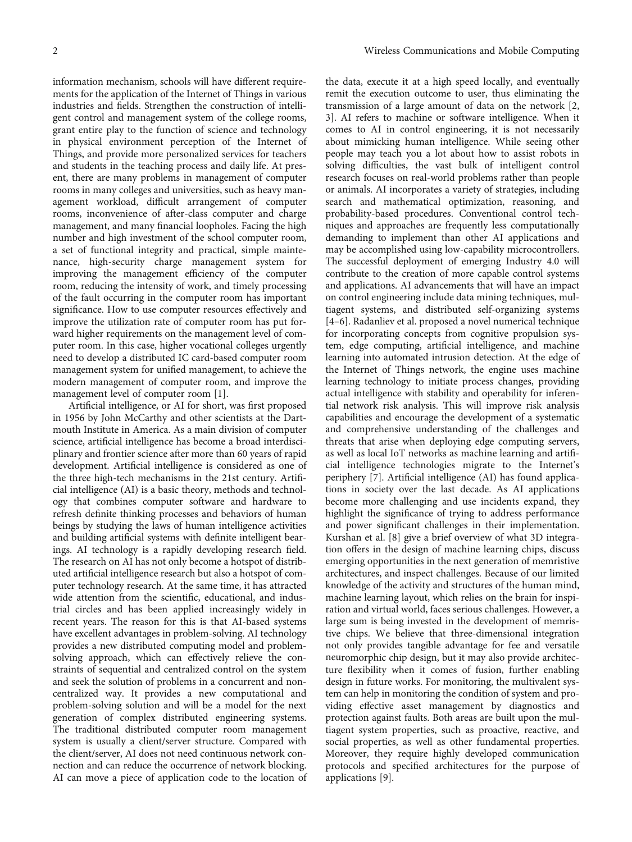information mechanism, schools will have different requirements for the application of the Internet of Things in various industries and fields. Strengthen the construction of intelligent control and management system of the college rooms, grant entire play to the function of science and technology in physical environment perception of the Internet of Things, and provide more personalized services for teachers and students in the teaching process and daily life. At present, there are many problems in management of computer rooms in many colleges and universities, such as heavy management workload, difficult arrangement of computer rooms, inconvenience of after-class computer and charge management, and many financial loopholes. Facing the high number and high investment of the school computer room, a set of functional integrity and practical, simple maintenance, high-security charge management system for improving the management efficiency of the computer room, reducing the intensity of work, and timely processing of the fault occurring in the computer room has important significance. How to use computer resources effectively and improve the utilization rate of computer room has put forward higher requirements on the management level of computer room. In this case, higher vocational colleges urgently need to develop a distributed IC card-based computer room management system for unified management, to achieve the modern management of computer room, and improve the management level of computer room [\[1](#page-7-0)].

Artificial intelligence, or AI for short, was first proposed in 1956 by John McCarthy and other scientists at the Dartmouth Institute in America. As a main division of computer science, artificial intelligence has become a broad interdisciplinary and frontier science after more than 60 years of rapid development. Artificial intelligence is considered as one of the three high-tech mechanisms in the 21st century. Artificial intelligence (AI) is a basic theory, methods and technology that combines computer software and hardware to refresh definite thinking processes and behaviors of human beings by studying the laws of human intelligence activities and building artificial systems with definite intelligent bearings. AI technology is a rapidly developing research field. The research on AI has not only become a hotspot of distributed artificial intelligence research but also a hotspot of computer technology research. At the same time, it has attracted wide attention from the scientific, educational, and industrial circles and has been applied increasingly widely in recent years. The reason for this is that AI-based systems have excellent advantages in problem-solving. AI technology provides a new distributed computing model and problemsolving approach, which can effectively relieve the constraints of sequential and centralized control on the system and seek the solution of problems in a concurrent and noncentralized way. It provides a new computational and problem-solving solution and will be a model for the next generation of complex distributed engineering systems. The traditional distributed computer room management system is usually a client/server structure. Compared with the client/server, AI does not need continuous network connection and can reduce the occurrence of network blocking. AI can move a piece of application code to the location of

the data, execute it at a high speed locally, and eventually remit the execution outcome to user, thus eliminating the transmission of a large amount of data on the network [\[2,](#page-7-0) [3\]](#page-7-0). AI refers to machine or software intelligence. When it comes to AI in control engineering, it is not necessarily about mimicking human intelligence. While seeing other people may teach you a lot about how to assist robots in solving difficulties, the vast bulk of intelligent control research focuses on real-world problems rather than people or animals. AI incorporates a variety of strategies, including search and mathematical optimization, reasoning, and probability-based procedures. Conventional control techniques and approaches are frequently less computationally demanding to implement than other AI applications and may be accomplished using low-capability microcontrollers. The successful deployment of emerging Industry 4.0 will contribute to the creation of more capable control systems and applications. AI advancements that will have an impact on control engineering include data mining techniques, multiagent systems, and distributed self-organizing systems [\[4](#page-7-0)–[6](#page-7-0)]. Radanliev et al. proposed a novel numerical technique for incorporating concepts from cognitive propulsion system, edge computing, artificial intelligence, and machine learning into automated intrusion detection. At the edge of the Internet of Things network, the engine uses machine learning technology to initiate process changes, providing actual intelligence with stability and operability for inferential network risk analysis. This will improve risk analysis capabilities and encourage the development of a systematic and comprehensive understanding of the challenges and threats that arise when deploying edge computing servers, as well as local IoT networks as machine learning and artificial intelligence technologies migrate to the Internet's periphery [\[7\]](#page-7-0). Artificial intelligence (AI) has found applications in society over the last decade. As AI applications become more challenging and use incidents expand, they highlight the significance of trying to address performance and power significant challenges in their implementation. Kurshan et al. [\[8\]](#page-7-0) give a brief overview of what 3D integration offers in the design of machine learning chips, discuss emerging opportunities in the next generation of memristive architectures, and inspect challenges. Because of our limited knowledge of the activity and structures of the human mind, machine learning layout, which relies on the brain for inspiration and virtual world, faces serious challenges. However, a large sum is being invested in the development of memristive chips. We believe that three-dimensional integration not only provides tangible advantage for fee and versatile neuromorphic chip design, but it may also provide architecture flexibility when it comes of fusion, further enabling design in future works. For monitoring, the multivalent system can help in monitoring the condition of system and providing effective asset management by diagnostics and protection against faults. Both areas are built upon the multiagent system properties, such as proactive, reactive, and social properties, as well as other fundamental properties. Moreover, they require highly developed communication protocols and specified architectures for the purpose of applications [[9](#page-7-0)].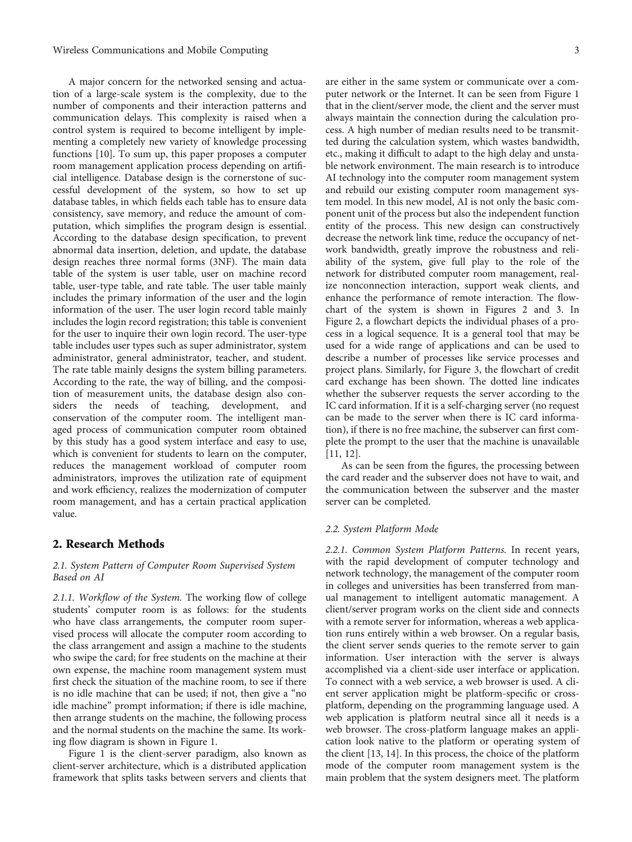A major concern for the networked sensing and actuation of a large-scale system is the complexity, due to the number of components and their interaction patterns and communication delays. This complexity is raised when a control system is required to become intelligent by implementing a completely new variety of knowledge processing functions [\[10\]](#page-7-0). To sum up, this paper proposes a computer room management application process depending on artificial intelligence. Database design is the cornerstone of successful development of the system, so how to set up database tables, in which fields each table has to ensure data consistency, save memory, and reduce the amount of computation, which simplifies the program design is essential. According to the database design specification, to prevent abnormal data insertion, deletion, and update, the database design reaches three normal forms (3NF). The main data table of the system is user table, user on machine record table, user-type table, and rate table. The user table mainly includes the primary information of the user and the login information of the user. The user login record table mainly includes the login record registration; this table is convenient for the user to inquire their own login record. The user-type table includes user types such as super administrator, system administrator, general administrator, teacher, and student. The rate table mainly designs the system billing parameters. According to the rate, the way of billing, and the composition of measurement units, the database design also considers the needs of teaching, development, and conservation of the computer room. The intelligent managed process of communication computer room obtained by this study has a good system interface and easy to use, which is convenient for students to learn on the computer, reduces the management workload of computer room administrators, improves the utilization rate of equipment and work efficiency, realizes the modernization of computer room management, and has a certain practical application value.

## 2. Research Methods

## 2.1. System Pattern of Computer Room Supervised System Based on AI

2.1.1. Workflow of the System. The working flow of college students' computer room is as follows: for the students who have class arrangements, the computer room supervised process will allocate the computer room according to the class arrangement and assign a machine to the students who swipe the card; for free students on the machine at their own expense, the machine room management system must first check the situation of the machine room, to see if there is no idle machine that can be used; if not, then give a "no idle machine" prompt information; if there is idle machine, then arrange students on the machine, the following process and the normal students on the machine the same. Its working flow diagram is shown in Figure [1](#page-3-0).

Figure [1](#page-3-0) is the client-server paradigm, also known as client-server architecture, which is a distributed application framework that splits tasks between servers and clients that

are either in the same system or communicate over a computer network or the Internet. It can be seen from Figure [1](#page-3-0) that in the client/server mode, the client and the server must always maintain the connection during the calculation process. A high number of median results need to be transmitted during the calculation system, which wastes bandwidth, etc., making it difficult to adapt to the high delay and unstable network environment. The main research is to introduce AI technology into the computer room management system and rebuild our existing computer room management system model. In this new model, AI is not only the basic component unit of the process but also the independent function entity of the process. This new design can constructively decrease the network link time, reduce the occupancy of network bandwidth, greatly improve the robustness and reliability of the system, give full play to the role of the network for distributed computer room management, realize nonconnection interaction, support weak clients, and enhance the performance of remote interaction. The flowchart of the system is shown in Figures [2](#page-3-0) and [3.](#page-4-0) In Figure [2](#page-3-0), a flowchart depicts the individual phases of a process in a logical sequence. It is a general tool that may be used for a wide range of applications and can be used to describe a number of processes like service processes and project plans. Similarly, for Figure [3,](#page-4-0) the flowchart of credit card exchange has been shown. The dotted line indicates whether the subserver requests the server according to the IC card information. If it is a self-charging server (no request can be made to the server when there is IC card information), if there is no free machine, the subserver can first complete the prompt to the user that the machine is unavailable [\[11, 12\]](#page-7-0).

As can be seen from the figures, the processing between the card reader and the subserver does not have to wait, and the communication between the subserver and the master server can be completed.

#### 2.2. System Platform Mode

2.2.1. Common System Platform Patterns. In recent years, with the rapid development of computer technology and network technology, the management of the computer room in colleges and universities has been transferred from manual management to intelligent automatic management. A client/server program works on the client side and connects with a remote server for information, whereas a web application runs entirely within a web browser. On a regular basis, the client server sends queries to the remote server to gain information. User interaction with the server is always accomplished via a client-side user interface or application. To connect with a web service, a web browser is used. A client server application might be platform-specific or crossplatform, depending on the programming language used. A web application is platform neutral since all it needs is a web browser. The cross-platform language makes an application look native to the platform or operating system of the client [[13, 14\]](#page-7-0). In this process, the choice of the platform mode of the computer room management system is the main problem that the system designers meet. The platform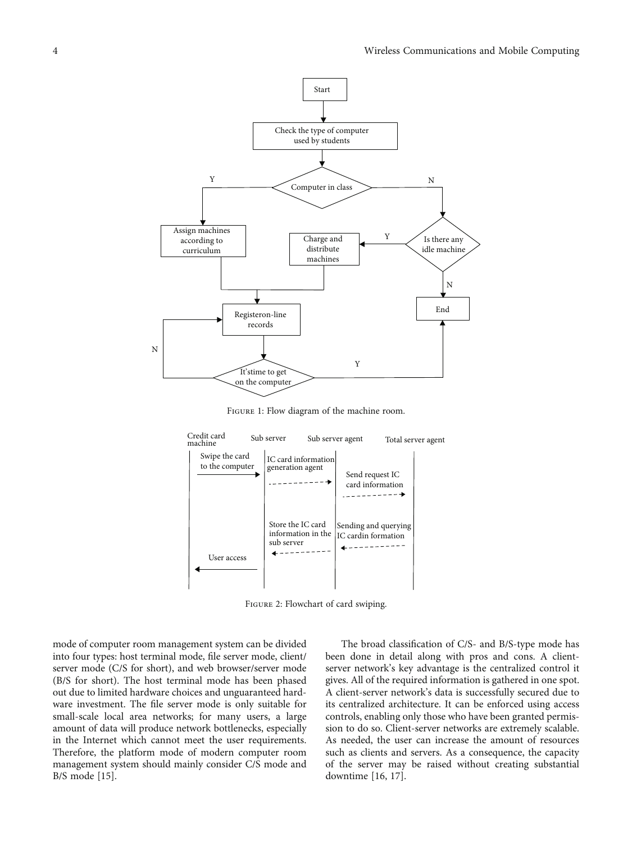<span id="page-3-0"></span>

Figure 1: Flow diagram of the machine room.



Figure 2: Flowchart of card swiping.

mode of computer room management system can be divided into four types: host terminal mode, file server mode, client/ server mode (C/S for short), and web browser/server mode (B/S for short). The host terminal mode has been phased out due to limited hardware choices and unguaranteed hardware investment. The file server mode is only suitable for small-scale local area networks; for many users, a large amount of data will produce network bottlenecks, especially in the Internet which cannot meet the user requirements. Therefore, the platform mode of modern computer room management system should mainly consider C/S mode and B/S mode [[15](#page-7-0)].

The broad classification of C/S- and B/S-type mode has been done in detail along with pros and cons. A clientserver network's key advantage is the centralized control it gives. All of the required information is gathered in one spot. A client-server network's data is successfully secured due to its centralized architecture. It can be enforced using access controls, enabling only those who have been granted permission to do so. Client-server networks are extremely scalable. As needed, the user can increase the amount of resources such as clients and servers. As a consequence, the capacity of the server may be raised without creating substantial downtime [[16](#page-7-0), [17](#page-7-0)].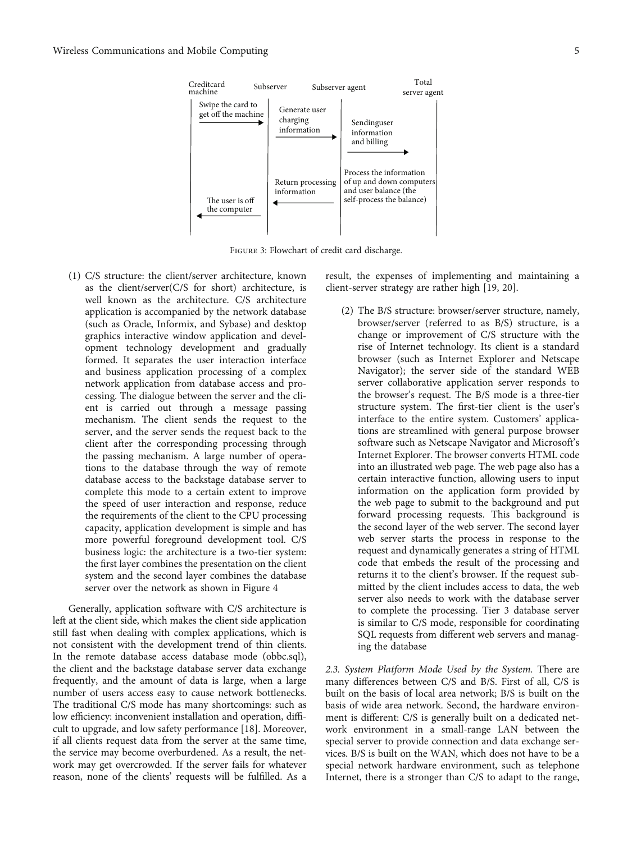<span id="page-4-0"></span>

Figure 3: Flowchart of credit card discharge.

(1) C/S structure: the client/server architecture, known as the client/server(C/S for short) architecture, is well known as the architecture. C/S architecture application is accompanied by the network database (such as Oracle, Informix, and Sybase) and desktop graphics interactive window application and development technology development and gradually formed. It separates the user interaction interface and business application processing of a complex network application from database access and processing. The dialogue between the server and the client is carried out through a message passing mechanism. The client sends the request to the server, and the server sends the request back to the client after the corresponding processing through the passing mechanism. A large number of operations to the database through the way of remote database access to the backstage database server to complete this mode to a certain extent to improve the speed of user interaction and response, reduce the requirements of the client to the CPU processing capacity, application development is simple and has more powerful foreground development tool. C/S business logic: the architecture is a two-tier system: the first layer combines the presentation on the client system and the second layer combines the database server over the network as shown in Figure [4](#page-5-0)

Generally, application software with C/S architecture is left at the client side, which makes the client side application still fast when dealing with complex applications, which is not consistent with the development trend of thin clients. In the remote database access database mode (obbc.sql), the client and the backstage database server data exchange frequently, and the amount of data is large, when a large number of users access easy to cause network bottlenecks. The traditional C/S mode has many shortcomings: such as low efficiency: inconvenient installation and operation, difficult to upgrade, and low safety performance [[18\]](#page-7-0). Moreover, if all clients request data from the server at the same time, the service may become overburdened. As a result, the network may get overcrowded. If the server fails for whatever reason, none of the clients' requests will be fulfilled. As a

result, the expenses of implementing and maintaining a client-server strategy are rather high [\[19, 20](#page-7-0)].

(2) The B/S structure: browser/server structure, namely, browser/server (referred to as B/S) structure, is a change or improvement of C/S structure with the rise of Internet technology. Its client is a standard browser (such as Internet Explorer and Netscape Navigator); the server side of the standard WEB server collaborative application server responds to the browser's request. The B/S mode is a three-tier structure system. The first-tier client is the user's interface to the entire system. Customers' applications are streamlined with general purpose browser software such as Netscape Navigator and Microsoft's Internet Explorer. The browser converts HTML code into an illustrated web page. The web page also has a certain interactive function, allowing users to input information on the application form provided by the web page to submit to the background and put forward processing requests. This background is the second layer of the web server. The second layer web server starts the process in response to the request and dynamically generates a string of HTML code that embeds the result of the processing and returns it to the client's browser. If the request submitted by the client includes access to data, the web server also needs to work with the database server to complete the processing. Tier 3 database server is similar to C/S mode, responsible for coordinating SQL requests from different web servers and managing the database

2.3. System Platform Mode Used by the System. There are many differences between C/S and B/S. First of all, C/S is built on the basis of local area network; B/S is built on the basis of wide area network. Second, the hardware environment is different: C/S is generally built on a dedicated network environment in a small-range LAN between the special server to provide connection and data exchange services. B/S is built on the WAN, which does not have to be a special network hardware environment, such as telephone Internet, there is a stronger than C/S to adapt to the range,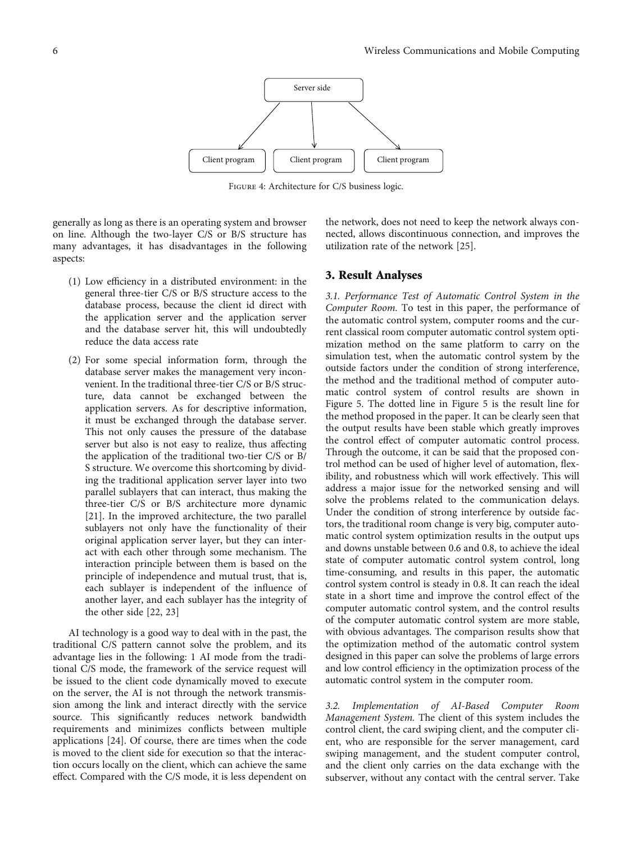<span id="page-5-0"></span>

Figure 4: Architecture for C/S business logic.

generally as long as there is an operating system and browser on line. Although the two-layer C/S or B/S structure has many advantages, it has disadvantages in the following aspects:

- (1) Low efficiency in a distributed environment: in the general three-tier C/S or B/S structure access to the database process, because the client id direct with the application server and the application server and the database server hit, this will undoubtedly reduce the data access rate
- (2) For some special information form, through the database server makes the management very inconvenient. In the traditional three-tier C/S or B/S structure, data cannot be exchanged between the application servers. As for descriptive information, it must be exchanged through the database server. This not only causes the pressure of the database server but also is not easy to realize, thus affecting the application of the traditional two-tier C/S or B/ S structure. We overcome this shortcoming by dividing the traditional application server layer into two parallel sublayers that can interact, thus making the three-tier C/S or B/S architecture more dynamic [\[21\]](#page-7-0). In the improved architecture, the two parallel sublayers not only have the functionality of their original application server layer, but they can interact with each other through some mechanism. The interaction principle between them is based on the principle of independence and mutual trust, that is, each sublayer is independent of the influence of another layer, and each sublayer has the integrity of the other side [\[22](#page-7-0), [23\]](#page-7-0)

AI technology is a good way to deal with in the past, the traditional C/S pattern cannot solve the problem, and its advantage lies in the following: 1 AI mode from the traditional C/S mode, the framework of the service request will be issued to the client code dynamically moved to execute on the server, the AI is not through the network transmission among the link and interact directly with the service source. This significantly reduces network bandwidth requirements and minimizes conflicts between multiple applications [[24](#page-7-0)]. Of course, there are times when the code is moved to the client side for execution so that the interaction occurs locally on the client, which can achieve the same effect. Compared with the C/S mode, it is less dependent on

the network, does not need to keep the network always connected, allows discontinuous connection, and improves the utilization rate of the network [[25](#page-7-0)].

#### 3. Result Analyses

3.1. Performance Test of Automatic Control System in the Computer Room. To test in this paper, the performance of the automatic control system, computer rooms and the current classical room computer automatic control system optimization method on the same platform to carry on the simulation test, when the automatic control system by the outside factors under the condition of strong interference, the method and the traditional method of computer automatic control system of control results are shown in Figure [5](#page-6-0). The dotted line in Figure [5](#page-6-0) is the result line for the method proposed in the paper. It can be clearly seen that the output results have been stable which greatly improves the control effect of computer automatic control process. Through the outcome, it can be said that the proposed control method can be used of higher level of automation, flexibility, and robustness which will work effectively. This will address a major issue for the networked sensing and will solve the problems related to the communication delays. Under the condition of strong interference by outside factors, the traditional room change is very big, computer automatic control system optimization results in the output ups and downs unstable between 0.6 and 0.8, to achieve the ideal state of computer automatic control system control, long time-consuming, and results in this paper, the automatic control system control is steady in 0.8. It can reach the ideal state in a short time and improve the control effect of the computer automatic control system, and the control results of the computer automatic control system are more stable, with obvious advantages. The comparison results show that the optimization method of the automatic control system designed in this paper can solve the problems of large errors and low control efficiency in the optimization process of the automatic control system in the computer room.

3.2. Implementation of AI-Based Computer Room Management System. The client of this system includes the control client, the card swiping client, and the computer client, who are responsible for the server management, card swiping management, and the student computer control, and the client only carries on the data exchange with the subserver, without any contact with the central server. Take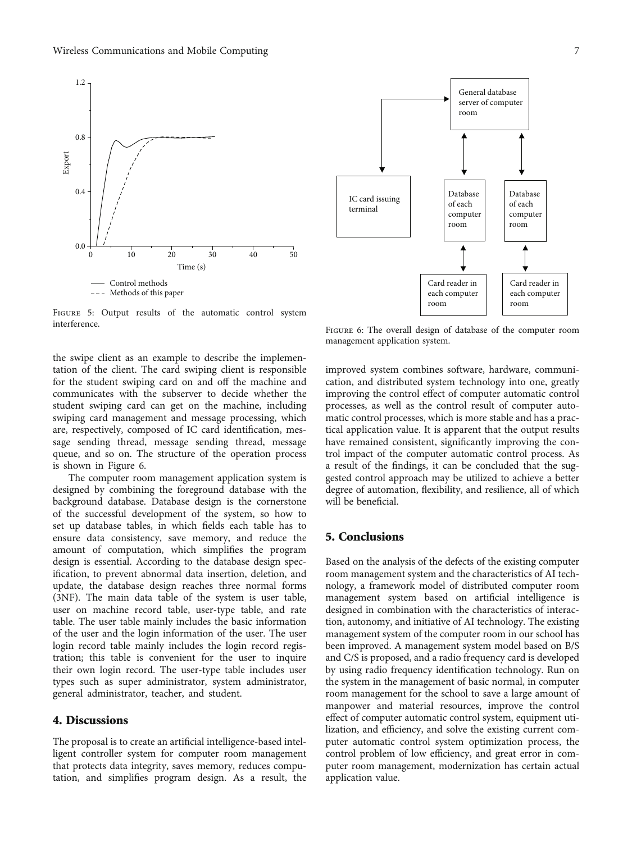<span id="page-6-0"></span>

FIGURE 5: Output results of the automatic control system interference.

the swipe client as an example to describe the implementation of the client. The card swiping client is responsible for the student swiping card on and off the machine and communicates with the subserver to decide whether the student swiping card can get on the machine, including swiping card management and message processing, which are, respectively, composed of IC card identification, message sending thread, message sending thread, message queue, and so on. The structure of the operation process is shown in Figure 6.

The computer room management application system is designed by combining the foreground database with the background database. Database design is the cornerstone of the successful development of the system, so how to set up database tables, in which fields each table has to ensure data consistency, save memory, and reduce the amount of computation, which simplifies the program design is essential. According to the database design specification, to prevent abnormal data insertion, deletion, and update, the database design reaches three normal forms (3NF). The main data table of the system is user table, user on machine record table, user-type table, and rate table. The user table mainly includes the basic information of the user and the login information of the user. The user login record table mainly includes the login record registration; this table is convenient for the user to inquire their own login record. The user-type table includes user types such as super administrator, system administrator, general administrator, teacher, and student.

## 4. Discussions

The proposal is to create an artificial intelligence-based intelligent controller system for computer room management that protects data integrity, saves memory, reduces computation, and simplifies program design. As a result, the



Figure 6: The overall design of database of the computer room management application system.

improved system combines software, hardware, communication, and distributed system technology into one, greatly improving the control effect of computer automatic control processes, as well as the control result of computer automatic control processes, which is more stable and has a practical application value. It is apparent that the output results have remained consistent, significantly improving the control impact of the computer automatic control process. As a result of the findings, it can be concluded that the suggested control approach may be utilized to achieve a better degree of automation, flexibility, and resilience, all of which will be beneficial.

## 5. Conclusions

Based on the analysis of the defects of the existing computer room management system and the characteristics of AI technology, a framework model of distributed computer room management system based on artificial intelligence is designed in combination with the characteristics of interaction, autonomy, and initiative of AI technology. The existing management system of the computer room in our school has been improved. A management system model based on B/S and C/S is proposed, and a radio frequency card is developed by using radio frequency identification technology. Run on the system in the management of basic normal, in computer room management for the school to save a large amount of manpower and material resources, improve the control effect of computer automatic control system, equipment utilization, and efficiency, and solve the existing current computer automatic control system optimization process, the control problem of low efficiency, and great error in computer room management, modernization has certain actual application value.